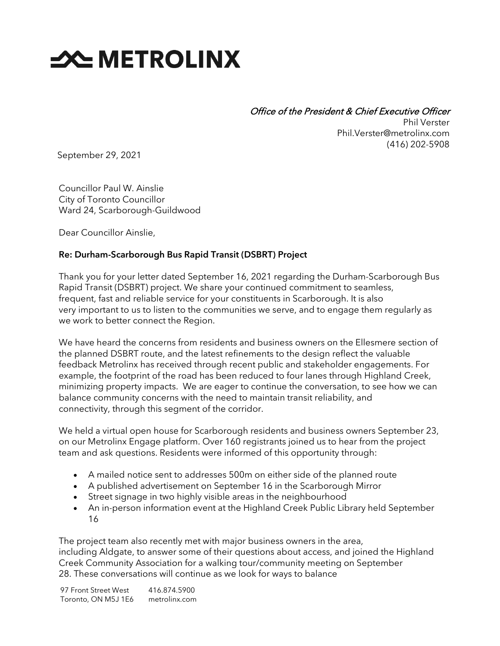## **SOUTHER THE METROLINX**

Office of the President & Chief Executive Officer Phil Verster Phil.Verster@metrolinx.com (416) 202-5908

September 29, 2021

Councillor Paul W. Ainslie City of Toronto Councillor Ward 24, Scarborough-Guildwood

Dear Councillor Ainslie,

## Re: Durham-Scarborough Bus Rapid Transit (DSBRT) Project

Thank you for your letter dated September 16, 2021 regarding the Durham-Scarborough Bus Rapid Transit (DSBRT) project. We share your continued commitment to seamless, frequent, fast and reliable service for your constituents in Scarborough. It is also very important to us to listen to the communities we serve, and to engage them regularly as we work to better connect the Region.

We have heard the concerns from residents and business owners on the Ellesmere section of the planned DSBRT route, and the latest refinements to the design reflect the valuable feedback Metrolinx has received through recent public and stakeholder engagements. For example, the footprint of the road has been reduced to four lanes through Highland Creek, minimizing property impacts. We are eager to continue the conversation, to see how we can balance community concerns with the need to maintain transit reliability, and connectivity, through this segment of the corridor.

We held a virtual open house for Scarborough residents and business owners September 23, on our Metrolinx Engage platform. Over 160 registrants joined us to hear from the project team and ask questions. Residents were informed of this opportunity through:

- A mailed notice sent to addresses 500m on either side of the planned route
- A published advertisement on September 16 in the Scarborough Mirror
- Street signage in two highly visible areas in the neighbourhood
- An in-person information event at the Highland Creek Public Library held September 16

The project team also recently met with major business owners in the area, including Aldgate, to answer some of their questions about access, and joined the Highland Creek Community Association for a walking tour/community meeting on September 28. These conversations will continue as we look for ways to balance

97 Front Street West Toronto, ON M5J 1E6 416.874.5900 metrolinx.com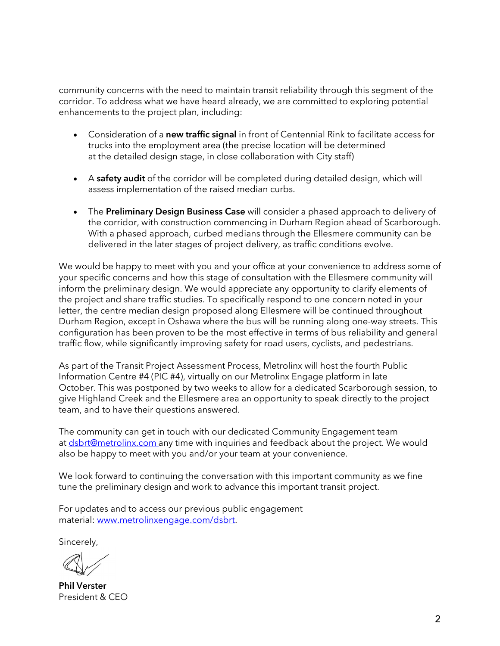community concerns with the need to maintain transit reliability through this segment of the corridor. To address what we have heard already, we are committed to exploring potential enhancements to the project plan, including:

- Consideration of a new traffic signal in front of Centennial Rink to facilitate access for trucks into the employment area (the precise location will be determined at the detailed design stage, in close collaboration with City staff)
- A safety audit of the corridor will be completed during detailed design, which will assess implementation of the raised median curbs.
- The Preliminary Design Business Case will consider a phased approach to delivery of the corridor, with construction commencing in Durham Region ahead of Scarborough. With a phased approach, curbed medians through the Ellesmere community can be delivered in the later stages of project delivery, as traffic conditions evolve.

We would be happy to meet with you and your office at your convenience to address some of your specific concerns and how this stage of consultation with the Ellesmere community will inform the preliminary design. We would appreciate any opportunity to clarify elements of the project and share traffic studies. To specifically respond to one concern noted in your letter, the centre median design proposed along Ellesmere will be continued throughout Durham Region, except in Oshawa where the bus will be running along one-way streets. This configuration has been proven to be the most effective in terms of bus reliability and general traffic flow, while significantly improving safety for road users, cyclists, and pedestrians.

As part of the Transit Project Assessment Process, Metrolinx will host the fourth Public Information Centre #4 (PIC #4), virtually on our Metrolinx Engage platform in late October. This was postponed by two weeks to allow for a dedicated Scarborough session, to give Highland Creek and the Ellesmere area an opportunity to speak directly to the project team, and to have their questions answered.

The community can get in touch with our dedicated Community Engagement team at [dsbrt@metrolinx.com](mailto:dsbrt@metrolinx.com) any time with inquiries and feedback about the project. We would also be happy to meet with you and/or your team at your convenience.

We look forward to continuing the conversation with this important community as we fine tune the preliminary design and work to advance this important transit project.

For updates and to access our previous public engagement material: [www.metrolinxengage.com/dsbrt.](http://www.metrolinxengage.com/dsbrt)

Sincerely,

Phil Verster President & CEO